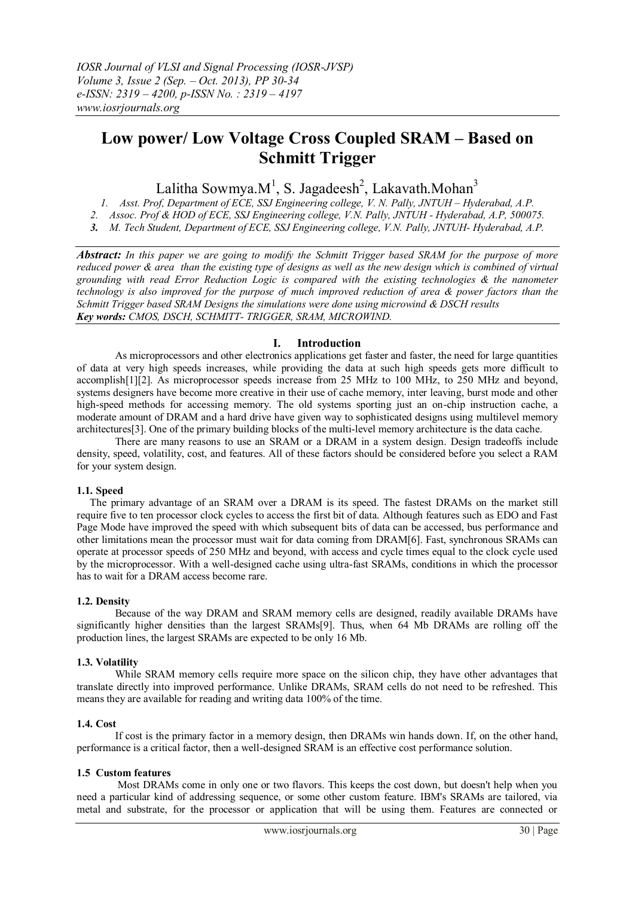# **Low power/ Low Voltage Cross Coupled SRAM – Based on Schmitt Trigger**

# Lalitha Sowmya.M<sup>1</sup>, S. Jagadeesh<sup>2</sup>, Lakavath.Mohan<sup>3</sup>

*1. Asst. Prof, Department of ECE, SSJ Engineering college, V. N. Pally, JNTUH – Hyderabad, A.P. 2. Assoc. Prof & HOD of ECE, SSJ Engineering college, V.N. Pally, JNTUH - Hyderabad, A.P, 500075. 3. M. Tech Student, Department of ECE, SSJ Engineering college, V.N. Pally, JNTUH- Hyderabad, A.P.*

*Abstract: In this paper we are going to modify the Schmitt Trigger based SRAM for the purpose of more reduced power & area than the existing type of designs as well as the new design which is combined of virtual grounding with read Error Reduction Logic is compared with the existing technologies & the nanometer technology is also improved for the purpose of much improved reduction of area & power factors than the Schmitt Trigger based SRAM Designs the simulations were done using microwind & DSCH results Key words: CMOS, DSCH, SCHMITT- TRIGGER, SRAM, MICROWIND.*

## **I. Introduction**

As microprocessors and other electronics applications get faster and faster, the need for large quantities of data at very high speeds increases, while providing the data at such high speeds gets more difficult to accomplish[1][2]. As microprocessor speeds increase from 25 MHz to 100 MHz, to 250 MHz and beyond, systems designers have become more creative in their use of cache memory, inter leaving, burst mode and other high-speed methods for accessing memory. The old systems sporting just an on-chip instruction cache, a moderate amount of DRAM and a hard drive have given way to sophisticated designs using multilevel memory architectures[3]. One of the primary building blocks of the multi-level memory architecture is the data cache.

There are many reasons to use an SRAM or a DRAM in a system design. Design tradeoffs include density, speed, volatility, cost, and features. All of these factors should be considered before you select a RAM for your system design.

### **1.1. Speed**

 The primary advantage of an SRAM over a DRAM is its speed. The fastest DRAMs on the market still require five to ten processor clock cycles to access the first bit of data. Although features such as EDO and Fast Page Mode have improved the speed with which subsequent bits of data can be accessed, bus performance and other limitations mean the processor must wait for data coming from DRAM[6]. Fast, synchronous SRAMs can operate at processor speeds of 250 MHz and beyond, with access and cycle times equal to the clock cycle used by the microprocessor. With a well-designed cache using ultra-fast SRAMs, conditions in which the processor has to wait for a DRAM access become rare.

### **1.2. Density**

 Because of the way DRAM and SRAM memory cells are designed, readily available DRAMs have significantly higher densities than the largest SRAMs[9]. Thus, when 64 Mb DRAMs are rolling off the production lines, the largest SRAMs are expected to be only 16 Mb.

### **1.3. Volatility**

While SRAM memory cells require more space on the silicon chip, they have other advantages that translate directly into improved performance. Unlike DRAMs, SRAM cells do not need to be refreshed. This means they are available for reading and writing data 100% of the time.

#### **1.4. Cost**

 If cost is the primary factor in a memory design, then DRAMs win hands down. If, on the other hand, performance is a critical factor, then a well-designed SRAM is an effective cost performance solution.

### **1.5 Custom features**

 Most DRAMs come in only one or two flavors. This keeps the cost down, but doesn't help when you need a particular kind of addressing sequence, or some other custom feature. IBM's SRAMs are tailored, via metal and substrate, for the processor or application that will be using them. Features are connected or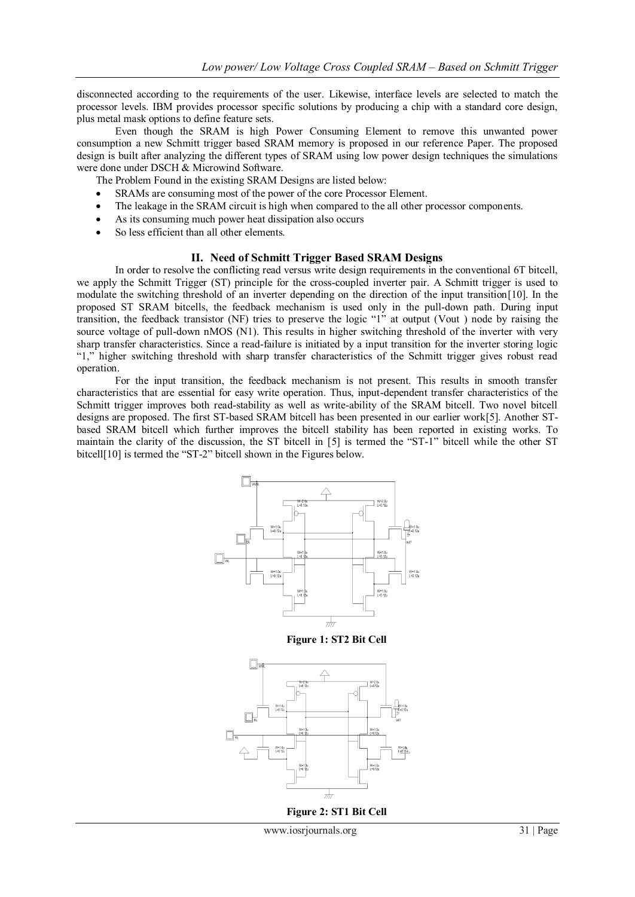disconnected according to the requirements of the user. Likewise, interface levels are selected to match the processor levels. IBM provides processor specific solutions by producing a chip with a standard core design, plus metal mask options to define feature sets.

Even though the SRAM is high Power Consuming Element to remove this unwanted power consumption a new Schmitt trigger based SRAM memory is proposed in our reference Paper. The proposed design is built after analyzing the different types of SRAM using low power design techniques the simulations were done under DSCH & Microwind Software.

- The Problem Found in the existing SRAM Designs are listed below:
- SRAMs are consuming most of the power of the core Processor Element.
- The leakage in the SRAM circuit is high when compared to the all other processor components.
- As its consuming much power heat dissipation also occurs
- So less efficient than all other elements.

#### **II. Need of Schmitt Trigger Based SRAM Designs**

In order to resolve the conflicting read versus write design requirements in the conventional 6T bitcell, we apply the Schmitt Trigger (ST) principle for the cross-coupled inverter pair. A Schmitt trigger is used to modulate the switching threshold of an inverter depending on the direction of the input transition[10]. In the proposed ST SRAM bitcells, the feedback mechanism is used only in the pull-down path. During input transition, the feedback transistor (NF) tries to preserve the logic "1" at output (Vout ) node by raising the source voltage of pull-down nMOS (N1). This results in higher switching threshold of the inverter with very sharp transfer characteristics. Since a read-failure is initiated by a input transition for the inverter storing logic "1," higher switching threshold with sharp transfer characteristics of the Schmitt trigger gives robust read operation.

For the input transition, the feedback mechanism is not present. This results in smooth transfer characteristics that are essential for easy write operation. Thus, input-dependent transfer characteristics of the Schmitt trigger improves both read-stability as well as write-ability of the SRAM bitcell. Two novel bitcell designs are proposed. The first ST-based SRAM bitcell has been presented in our earlier work[5]. Another STbased SRAM bitcell which further improves the bitcell stability has been reported in existing works. To maintain the clarity of the discussion, the ST bitcell in [5] is termed the "ST-1" bitcell while the other ST bitcell[10] is termed the "ST-2" bitcell shown in the Figures below.



**Figure 1: ST2 Bit Cell**



**Figure 2: ST1 Bit Cell**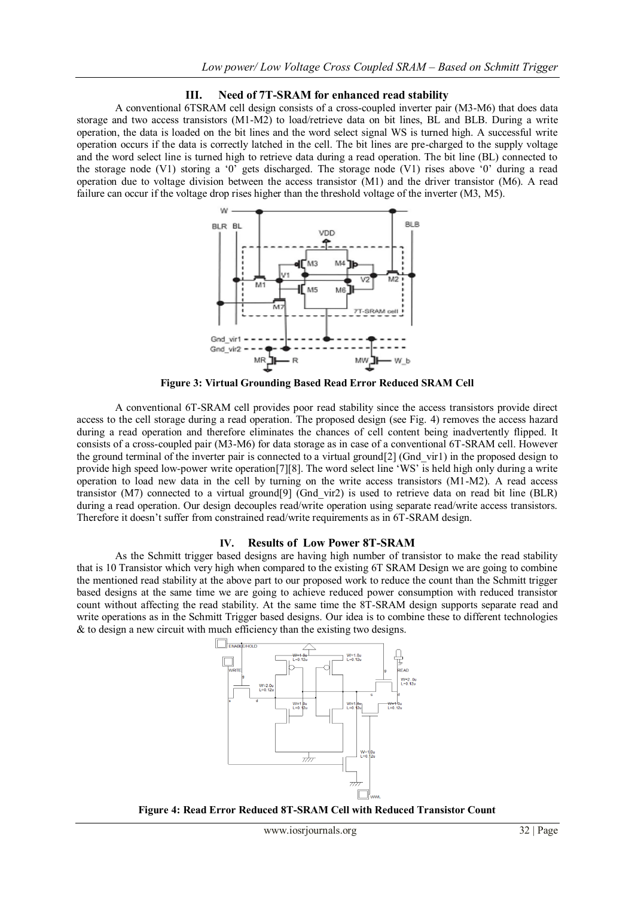#### **III. Need of 7T-SRAM for enhanced read stability**

A conventional 6TSRAM cell design consists of a cross-coupled inverter pair (M3-M6) that does data storage and two access transistors (M1-M2) to load/retrieve data on bit lines, BL and BLB. During a write operation, the data is loaded on the bit lines and the word select signal WS is turned high. A successful write operation occurs if the data is correctly latched in the cell. The bit lines are pre-charged to the supply voltage and the word select line is turned high to retrieve data during a read operation. The bit line (BL) connected to the storage node (V1) storing a '0<sup>"</sup> gets discharged. The storage node (V1) rises above '0' during a read operation due to voltage division between the access transistor (M1) and the driver transistor (M6). A read failure can occur if the voltage drop rises higher than the threshold voltage of the inverter (M3, M5).



**Figure 3: Virtual Grounding Based Read Error Reduced SRAM Cell**

A conventional 6T-SRAM cell provides poor read stability since the access transistors provide direct access to the cell storage during a read operation. The proposed design (see Fig. 4) removes the access hazard during a read operation and therefore eliminates the chances of cell content being inadvertently flipped. It consists of a cross-coupled pair (M3-M6) for data storage as in case of a conventional 6T-SRAM cell. However the ground terminal of the inverter pair is connected to a virtual ground[2] (Gnd\_vir1) in the proposed design to provide high speed low-power write operation[7][8]. The word select line "WS" is held high only during a write operation to load new data in the cell by turning on the write access transistors (M1-M2). A read access transistor (M7) connected to a virtual ground[9] (Gnd\_vir2) is used to retrieve data on read bit line (BLR) during a read operation. Our design decouples read/write operation using separate read/write access transistors. Therefore it doesn't suffer from constrained read/write requirements as in 6T-SRAM design.

### **IV. Results of Low Power 8T-SRAM**

As the Schmitt trigger based designs are having high number of transistor to make the read stability that is 10 Transistor which very high when compared to the existing 6T SRAM Design we are going to combine the mentioned read stability at the above part to our proposed work to reduce the count than the Schmitt trigger based designs at the same time we are going to achieve reduced power consumption with reduced transistor count without affecting the read stability. At the same time the 8T-SRAM design supports separate read and write operations as in the Schmitt Trigger based designs. Our idea is to combine these to different technologies & to design a new circuit with much efficiency than the existing two designs.



**Figure 4: Read Error Reduced 8T-SRAM Cell with Reduced Transistor Count**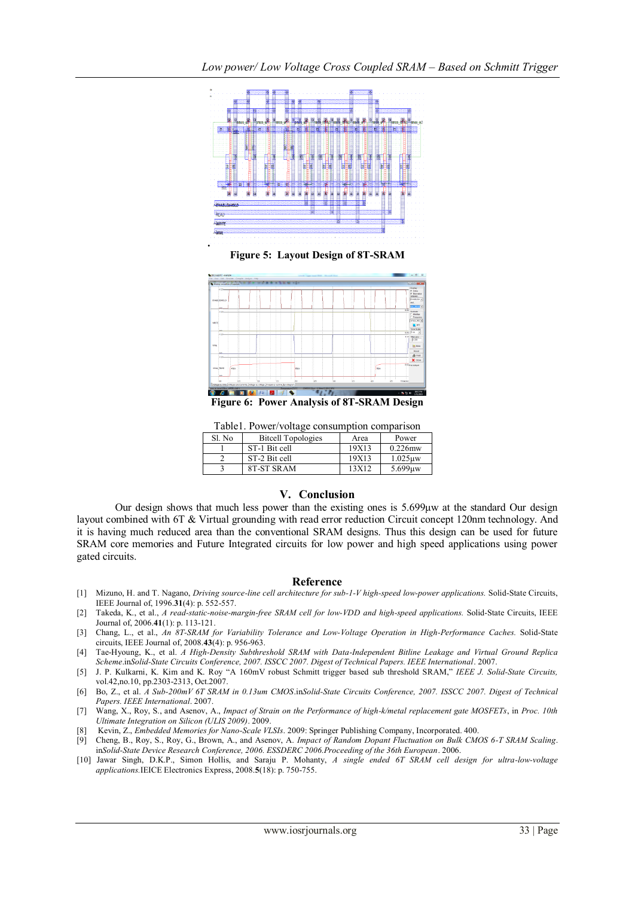

**Figure 5: Layout Design of 8T-SRAM**



**Figure 6: Power Analysis of 8T-SRAM Design**

Table1. Power/voltage consumption comparison

|  | Sl. No | <b>Bitcell Topologies</b> | Area    | Power      |
|--|--------|---------------------------|---------|------------|
|  |        | ST-1 Bit cell             | 19X13   | $0.226$ mw |
|  |        | ST-2 Bit cell             | 19X13   | $1.025$ uw |
|  |        | 8T-ST SRAM                | 13 X 12 | 5.699uw    |

### **V. Conclusion**

Our design shows that much less power than the existing ones is 5.699μw at the standard Our design layout combined with 6T & Virtual grounding with read error reduction Circuit concept 120nm technology. And it is having much reduced area than the conventional SRAM designs. Thus this design can be used for future SRAM core memories and Future Integrated circuits for low power and high speed applications using power gated circuits.

#### **Reference**

- [1] Mizuno, H. and T. Nagano, *Driving source-line cell architecture for sub-1-V high-speed low-power applications*. Solid-State Circuits, IEEE Journal of, 1996.**31**(4): p. 552-557.
- [2] Takeda, K., et al., *A read-static-noise-margin-free SRAM cell for low-VDD and high-speed applications.* Solid-State Circuits, IEEE Journal of, 2006.**41**(1): p. 113-121.
- [3] Chang, L., et al., *An 8T-SRAM for Variability Tolerance and Low-Voltage Operation in High-Performance Caches.* Solid-State circuits, IEEE Journal of, 2008.**43**(4): p. 956-963.
- [4] Tae-Hyoung, K., et al. *A High-Density Subthreshold SRAM with Data-Independent Bitline Leakage and Virtual Ground Replica Scheme*.in*Solid-State Circuits Conference, 2007. ISSCC 2007. Digest of Technical Papers. IEEE International*. 2007.
- [5] J. P. Kulkarni, K. Kim and K. Roy "A 160mV robust Schmitt trigger based sub threshold SRAM," *IEEE J. Solid-State Circuits,*  vol.42,no.10, pp.2303-2313, Oct.2007.
- [6] Bo, Z., et al. *A Sub-200mV 6T SRAM in 0.13um CMOS*.in*Solid-State Circuits Conference, 2007. ISSCC 2007. Digest of Technical Papers. IEEE International*. 2007.
- [7] Wang, X., Roy, S., and Asenov, A., *Impact of Strain on the Performance of high-k/metal replacement gate MOSFETs*, in *Proc. 10th Ultimate Integration on Silicon (ULIS 2009)*. 2009.
- [8] Kevin, Z., *Embedded Memories for Nano-Scale VLSIs*. 2009: Springer Publishing Company, Incorporated. 400.
- [9] Cheng, B., Roy, S., Roy, G., Brown, A., and Asenov, A. *Impact of Random Dopant Fluctuation on Bulk CMOS 6-T SRAM Scaling*. in*Solid-State Device Research Conference, 2006. ESSDERC 2006.Proceeding of the 36th European*. 2006.
- [10] Jawar Singh, D.K.P., Simon Hollis, and Saraju P. Mohanty, *A single ended 6T SRAM cell design for ultra-low-voltage applications.*IEICE Electronics Express, 2008.**5**(18): p. 750-755.